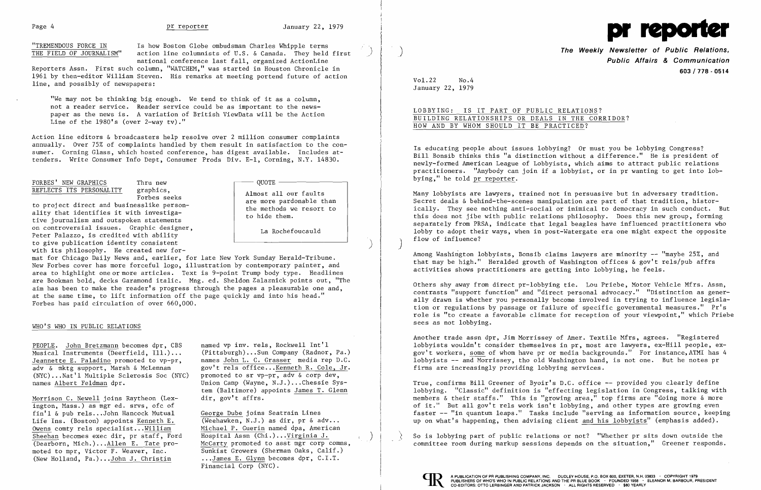

"TREMENDOUS FORCE IN Is how Boston Globe ombudsman Charles Whipple terms<br>THE FIELD OF JOURNALISM" action line columnists of U.S. & Canada. They held action line columnists of U.S. & Canada. They held first national conference last fall, organized ActionLine

"We may not be thinking big enough. We tend to think of it as a column, not a reader service. Reader service could be as important to the newspaper as the news is. A variation of British ViewData will be the Action Line of the 1980's (over 2-way tv)."

Reporters Assn. First such column, "WATCHEM," was started in Houston Chronicle in 1961 by then-editor William Steven. His remarks at meeting portend future of action line, and possibly of newspapers:

Action line editors & broadcasters help resolve over 2 million consumer complaints annually. Over 75% of complaints handled by them result in satisfaction to the consumer. Corning Glass, which hosted conference, has digest available. Includes attenders. Write Consumer Info Dept, Consumer Prods Div. E-l, Corning, N.Y. 14830.

## FORBES' NEW GRAPHICS Thru new REFLECTS ITS PERSONALITY graphics,

Forbes seeks

to project direct and businesslike personality that identifies it with investigative journalism and outspoken statements on controversial issues. Graphic designer, Peter Palazzo, is credited with ability to give publication identity consistent with its philosophy. He created new for-

> Union Camp (Wayne, N.J.)...Chessie System (Baltimore) appoints James T. Glenn

**QUOTE** 

Almost all our faults are more pardonable than the methods we resort to

to hide them.

La Rochefoucauld

)

Sunkist Growers (Sherman Oaks, Calif.)<br>...James E. Glynn becomes dpr, C.I.T. Financial Corp (NYC).

**The Weekly Newsletter of Public Relations Public Affairs & Communication 603/778·0514** 

mat for Chicago Daily News and, earlier, for late New York Sunday Herald-Tribune. New Forbes cover has more forceful logo, illustration by contemporary painter, and area to highlight one or more articles. Text is 9-point Trump body type. Headlines are Bookman bold, decks Garamond italic. Mng. ed. Sheldon Zalaznick points out, "The aim has been to make the reader's progress through the pages a pleasurable one and, at the same time, to lift information off the page quickly and into his head." Forbes has paid circulation of over 660,000.

### WHO'S WHO IN PUBLIC RELATIONS

PEOPLE. John Bretzmann becomes dpr, CBS named vp inv. rels, Rockwell Int'l<br>Musical Instruments (Deerfield, Ill.)... (Pittsburgh)...Sun Company (Radnor, Pa.) Musical Instruments (Deerfield, Ill.) ... (Pittsburgh) ... Sun Company (Radnor, Pa.) Jeannette E. Paladino promoted to vp-pr, adv & mktg support, Marsh & McLennan gov't rels office... <u>Kenneth R. Cole, Jr.</u> (NYC)... Nat'l Multiple Sclerosis Soc (NYC) promoted to sr vp-pr, adv & corp dev,  $(NYC) \dots Nat'1$  Multiple Sclerosis Soc (NYC) names Albert Feldman dpr.

Morrison C. Newell joins Raytheon (Lex- dir, gov't affrs. ington, Mass.) as mgr ed. srvs, ofc of fin'l & pub rels...John Hancock Mutual George Dube joins Seatrain Lines<br>Life Ins. (Boston) appoints Kenneth E. (Weehawken, N.J.) as dir, pr & adv... Life Ins. (Boston) appoints Kenneth E.  $\frac{\text{Owens}}{\text{Sheehan}}$  comty rels specialist... $\underline{\text{William}}$  Michael P. Guerin named dpa, American<br>Sheehan becomes exec dir. pr staff. Ford Hospital Assn (Chi.)...Virginia J. Sheehan becomes exec dir, pr staff, Ford (Dearborn, Mich.)...Allen E. Tate pro-(Dearborn, Mich.)... $\underline{\text{Allen E. Tate}}$  pro-<br>moted to mpr. Victor F. Weaver, Inc.<br>Sunkist Growers (Sherman Oaks, Calif.) (New Holland, Pa.)...John J. Christin

So is lobbying part of public relations or not? "Whether pr sits down outside the committee room during markup sessions depends on the situation," Greener responds.



Vol.22 No.4 January 22, 1979

# LOBBYING: IS IT PART OF PUBLIC RELATIONS? BUILDING RELATIONSHIPS OR DEALS IN THE CORRIDOR? HOW AND BY WHOM SHOULD IT BE PRACTICED?

Is educating people about issues lobbying? Or must you be lobbying Congress? Bill Bonsib thinks this "a distinction without a difference." He is president of newly-formed American League of Lobbyists, which aims to attract public relations practitioners. "Anybody can join if a lobbyist, or in pr wanting to get into lob bying," he told pr reporter.

Many lobbyists are lawyers, trained not in persuasive but in adversary tradition. Secret deals & behind-the-scenes manipulation are part of that tradition, histor ically. They see nothing anti-social or inimical to democracy in such conduct. But this does not jibe with public relations philosophy. Does this new group, forming separately from PRSA, indicate that legal beagles have influenced practitioners who lobby to adopt their ways, when in post-Watergate era one might expect the opposite flow of influence? )

Among Washington lobbyists, Bonsib claims lawyers are minority -- "maybe 25%, and that may be high." Heralded growth of Washington offices & gov't rels/pub affrs activities shows practitioners are getting into lobbying, he feels.

Others shy away from direct pr-lobbying tie. Lou Priebe, Motor Vehicle Mfrs. Assn, contrasts "support function" and "direct personal advocacy." "Distinction as generally drawn is whether you personally become involved in trying to influence legislation or regulations by passage or failure of specific governmental measures." Pr's role is "to create a favorable climate for reception of your viewpoint," which Priebe sees as not lobbying.

Another trade assn dpr, Jim Morrissey of Amer. Textile Mfrs, agrees. "Registered lobbyists wouldn't consider themselves in pr, most are lawyers, ex-Hill people, exgov't workers, some of whom have pr or media backgrounds." For instance,ATMI has 4 lobbyists -- and Morrissey, tho old Washington hand, is not one. But he notes pr firms are increasingly providing lobbying services.

True, confirms Bill Greener of Byoir's D.C. office -- provided you clearly define lobbying. "Classic" definition is "effecting legislation in Congress, talking with members & their staffs." This is "growing area," top firms are "doing more & more of it." But all gov't rels work isn't lobbying, and other types are growing even faster -- "in quantum leaps." Tasks include "serving as information source, keeping up on what's happening, then advising client and his lobbyists" (emphasis added).